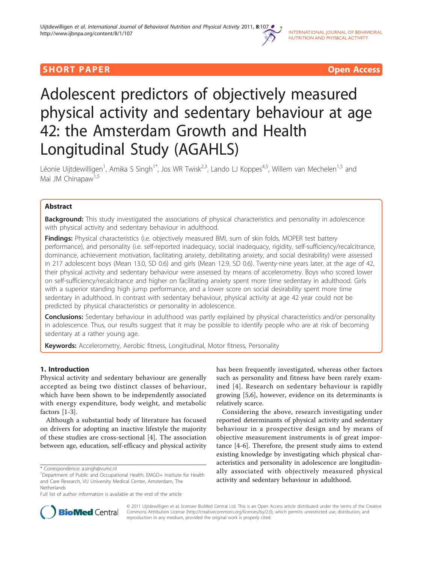# **SHORT PAPER CONSIDER CONSIDER CONSIDER CONSIDER CONSIDER CONSIDERING CONSIDERING CONSIDERING CONSIDERING CONSIDERING CONSIDERING CONSIDERING CONSIDERING CONSIDERING CONSIDERING CONSIDERING CONSIDERING CONSIDER**



# Adolescent predictors of objectively measured physical activity and sedentary behaviour at age 42: the Amsterdam Growth and Health Longitudinal Study (AGAHLS)

Léonie Uijtdewilligen<sup>1</sup>, Amika S Singh<sup>1\*</sup>, Jos WR Twisk<sup>2,3</sup>, Lando LJ Koppes<sup>4,5</sup>, Willem van Mechelen<sup>1,5</sup> and Mai JM Chinapaw<sup>1,5</sup>

# Abstract

Background: This study investigated the associations of physical characteristics and personality in adolescence with physical activity and sedentary behaviour in adulthood.

Findings: Physical characteristics (i.e. objectively measured BMI, sum of skin folds, MOPER test battery performance), and personality (i.e. self-reported inadequacy, social inadequacy, rigidity, self-sufficiency/recalcitrance, dominance, achievement motivation, facilitating anxiety, debilitating anxiety, and social desirability) were assessed in 217 adolescent boys (Mean 13.0, SD 0.6) and girls (Mean 12.9, SD 0.6). Twenty-nine years later, at the age of 42, their physical activity and sedentary behaviour were assessed by means of accelerometry. Boys who scored lower on self-sufficiency/recalcitrance and higher on facilitating anxiety spent more time sedentary in adulthood. Girls with a superior standing high jump performance, and a lower score on social desirability spent more time sedentary in adulthood. In contrast with sedentary behaviour, physical activity at age 42 year could not be predicted by physical characteristics or personality in adolescence.

**Conclusions:** Sedentary behaviour in adulthood was partly explained by physical characteristics and/or personality in adolescence. Thus, our results suggest that it may be possible to identify people who are at risk of becoming sedentary at a rather young age.

Keywords: Accelerometry, Aerobic fitness, Longitudinal, Motor fitness, Personality

# 1. Introduction

Physical activity and sedentary behaviour are generally accepted as being two distinct classes of behaviour, which have been shown to be independently associated with energy expenditure, body weight, and metabolic factors [\[1](#page-4-0)-[3\]](#page-4-0).

Although a substantial body of literature has focused on drivers for adopting an inactive lifestyle the majority of these studies are cross-sectional [[4\]](#page-4-0). The association between age, education, self-efficacy and physical activity

has been frequently investigated, whereas other factors such as personality and fitness have been rarely examined [[4](#page-4-0)]. Research on sedentary behaviour is rapidly growing [[5,6](#page-4-0)], however, evidence on its determinants is relatively scarce.

Considering the above, research investigating under reported determinants of physical activity and sedentary behaviour in a prospective design and by means of objective measurement instruments is of great importance [\[4](#page-4-0)-[6\]](#page-4-0). Therefore, the present study aims to extend existing knowledge by investigating which physical characteristics and personality in adolescence are longitudinally associated with objectively measured physical activity and sedentary behaviour in adulthood.



© 2011 Uijtdewilligen et al; licensee BioMed Central Ltd. This is an Open Access article distributed under the terms of the Creative Commons Attribution License [\(http://creativecommons.org/licenses/by/2.0](http://creativecommons.org/licenses/by/2.0)), which permits unrestricted use, distribution, and reproduction in any medium, provided the original work is properly cited.

<sup>\*</sup> Correspondence: [a.singh@vumc.nl](mailto:a.singh@vumc.nl)

<sup>&</sup>lt;sup>1</sup>Department of Public and Occupational Health, EMGO+ Institute for Health and Care Research, VU University Medical Center, Amsterdam, The Netherlands

Full list of author information is available at the end of the article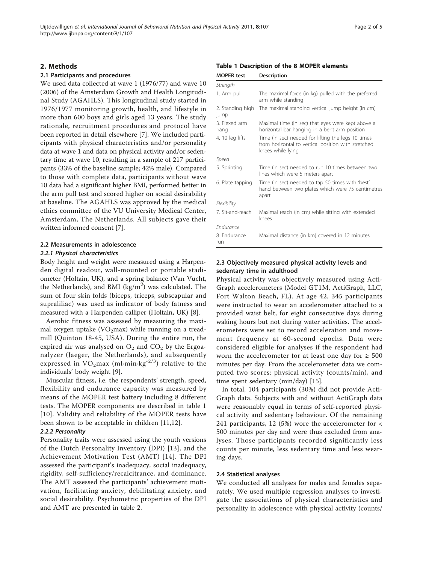# 2. Methods

### 2.1 Participants and procedures

We used data collected at wave 1 (1976/77) and wave 10 (2006) of the Amsterdam Growth and Health Longitudinal Study (AGAHLS). This longitudinal study started in 1976/1977 monitoring growth, health, and lifestyle in more than 600 boys and girls aged 13 years. The study rationale, recruitment procedures and protocol have been reported in detail elsewhere [\[7](#page-4-0)]. We included participants with physical characteristics and/or personality data at wave 1 and data on physical activity and/or sedentary time at wave 10, resulting in a sample of 217 participants (33% of the baseline sample; 42% male). Compared to those with complete data, participants without wave 10 data had a significant higher BMI, performed better in the arm pull test and scored higher on social desirability at baseline. The AGAHLS was approved by the medical ethics committee of the VU University Medical Center, Amsterdam, The Netherlands. All subjects gave their written informed consent [[7\]](#page-4-0).

# 2.2 Measurements in adolescence

#### 2.2.1 Physical characteristics

Body height and weight were measured using a Harpenden digital readout, wall-mounted or portable stadiometer (Holtain, UK), and a spring balance (Van Vucht, the Netherlands), and BMI (kg/m $^2)$  was calculated. The sum of four skin folds (biceps, triceps, subscapular and supraliliac) was used as indicator of body fatness and measured with a Harpenden calliper (Holtain, UK) [[8\]](#page-4-0).

Aerobic fitness was assessed by measuring the maximal oxygen uptake (VO<sub>2</sub>max) while running on a treadmill (Quinton 18-45, USA). During the entire run, the expired air was analysed on  $O_2$  and  $CO_2$  by the Ergoanalyzer (Jaeger, the Netherlands), and subsequently expressed in  $VO<sub>2</sub>max$  (ml·min·kg<sup>-2/3</sup>) relative to the individuals' body weight [[9\]](#page-4-0).

Muscular fitness, i.e. the respondents' strength, speed, flexibility and endurance capacity was measured by means of the MOPER test battery including 8 different tests. The MOPER components are described in table 1 [[10](#page-4-0)]. Validity and reliability of the MOPER tests have been shown to be acceptable in children [\[11,12](#page-4-0)].

# 2.2.2 Personality

Personality traits were assessed using the youth versions of the Dutch Personality Inventory (DPI) [\[13](#page-4-0)], and the Achievement Motivation Test (AMT) [[14\]](#page-4-0). The DPI assessed the participant's inadequacy, social inadequacy, rigidity, self-sufficiency/recalcitrance, and dominance. The AMT assessed the participants' achievement motivation, facilitating anxiety, debilitating anxiety, and social desirability. Psychometric properties of the DPI and AMT are presented in table [2.](#page-2-0)

#### Table 1 Description of the 8 MOPER elements

| <b>MOPER test</b>        | <b>Description</b>                                                                                                             |
|--------------------------|--------------------------------------------------------------------------------------------------------------------------------|
| Strength                 |                                                                                                                                |
| 1. Arm pull              | The maximal force (in kg) pulled with the preferred<br>arm while standing                                                      |
| 2. Standing high<br>jump | The maximal standing vertical jump height (in cm)                                                                              |
| 3. Flexed arm<br>hang    | Maximal time (in sec) that eyes were kept above a<br>horizontal bar hanging in a bent arm position                             |
| 4. 10 leg lifts          | Time (in sec) needed for lifting the legs 10 times<br>from horizontal to vertical position with stretched<br>knees while lying |
| Speed                    |                                                                                                                                |
| 5. Sprinting             | Time (in sec) needed to run 10 times between two<br>lines which were 5 meters apart                                            |
| 6. Plate tapping         | Time (in sec) needed to tap 50 times with 'best'<br>hand between two plates which were 75 centimetres<br>apart                 |
| Flexibility              |                                                                                                                                |
| 7. Sit-and-reach         | Maximal reach (in cm) while sitting with extended<br>knees                                                                     |
| <b>Fndurance</b>         |                                                                                                                                |
| 8. Endurance<br>run      | Maximal distance (in km) covered in 12 minutes                                                                                 |

# 2.3 Objectively measured physical activity levels and sedentary time in adulthood

Physical activity was objectively measured using Acti-Graph accelerometers (Model GT1M, ActiGraph, LLC, Fort Walton Beach, FL). At age 42, 345 participants were instructed to wear an accelerometer attached to a provided waist belt, for eight consecutive days during waking hours but not during water activities. The accelerometers were set to record acceleration and movement frequency at 60-second epochs. Data were considered eligible for analyses if the respondent had worn the accelerometer for at least one day for  $\geq 500$ minutes per day. From the accelerometer data we computed two scores: physical activity (counts/min), and time spent sedentary (min/day) [\[15](#page-4-0)].

In total, 104 participants (30%) did not provide Acti-Graph data. Subjects with and without ActiGraph data were reasonably equal in terms of self-reported physical activity and sedentary behaviour. Of the remaining 241 participants, 12 (5%) wore the accelerometer for < 500 minutes per day and were thus excluded from analyses. Those participants recorded significantly less counts per minute, less sedentary time and less wearing days.

### 2.4 Statistical analyses

We conducted all analyses for males and females separately. We used multiple regression analyses to investigate the associations of physical characteristics and personality in adolescence with physical activity (counts/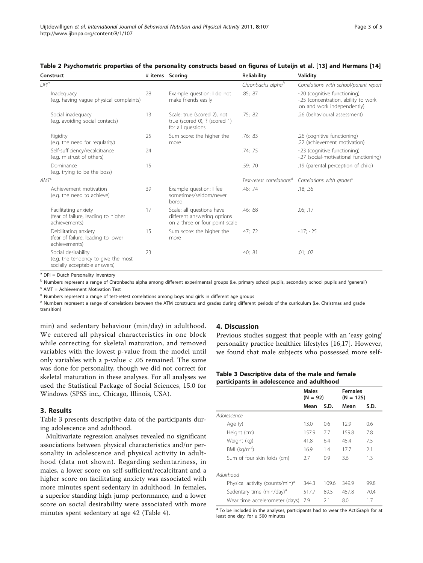| Construct                                                                                  |    | # items Scoring                                                                            | <b>Reliability</b>                    | Validity                                                                                           |
|--------------------------------------------------------------------------------------------|----|--------------------------------------------------------------------------------------------|---------------------------------------|----------------------------------------------------------------------------------------------------|
| DP <sup>a</sup>                                                                            |    |                                                                                            | Chronbachs alpha <sup>b</sup>         | Correlations with school/parent report                                                             |
| Inadequacy<br>(e.g. having vague physical complaints)                                      | 28 | Example question: I do not<br>make friends easily                                          | .85; .87                              | -.20 (cognitive functioning)<br>-.25 (concentration, ability to work<br>on and work independently) |
| Social inadequacy<br>(e.g. avoiding social contacts)                                       | 13 | Scale: true (scored 2), not<br>true (scored 0), ? (scored 1)<br>for all questions          | .75: .82                              | .26 (behavioural assessment)                                                                       |
| Rigidity<br>(e.g. the need for regularity)                                                 | 25 | Sum score: the higher the<br>more                                                          | .76; .83                              | .26 (cognitive functioning)<br>.22 (achievement motivation)                                        |
| Self-sufficiency/recalcitrance<br>(e.g. mistrust of others)                                | 24 |                                                                                            | .74; .75                              | -.23 (cognitive functioning)<br>-.27 (social-motivational functioning)                             |
| Dominance<br>(e.g. trying to be the boss)                                                  | 15 |                                                                                            | .59; .70                              | .19 (parental perception of child)                                                                 |
| AMT <sup>c</sup>                                                                           |    |                                                                                            | Test-retest correlations <sup>a</sup> | Correlations with grades <sup>e</sup>                                                              |
| Achievement motivation<br>(e.g. the need to achieve)                                       | 39 | Example question: I feel<br>sometimes/seldom/never<br>bored                                | .48: .74                              | .18: .35                                                                                           |
| Facilitating anxiety<br>(fear of failure, leading to higher<br>achievements)               | 17 | Scale: all questions have<br>different answering options<br>on a three or four point scale | .46; .68                              | .05: .17                                                                                           |
| Debilitating anxiety<br>(fear of failure, leading to lower<br>achievements)                | 15 | Sum score: the higher the<br>more                                                          | .47: .72                              | $-17; -25$                                                                                         |
| Social desirability<br>(e.g. the tendency to give the most<br>socially acceptable answers) | 23 |                                                                                            | .40; .81                              | .01; .07                                                                                           |

#### <span id="page-2-0"></span>Table 2 Psychometric properties of the personality constructs based on figures of Luteijn et al. [\[13](#page-4-0)] and Hermans [[14\]](#page-4-0)

<sup>a</sup> DPI = Dutch Personality Inventory

<sup>b</sup> Numbers represent a range of Chronbachs alpha among different experimental groups (i.e. primary school pupils, secondary school pupils and 'general')

 $c$  AMT = Achievement Motivation Test

<sup>d</sup> Numbers represent a range of test-retest correlations among boys and girls in different age groups

e Numbers represent a range of correlations between the ATM constructs and grades during different periods of the curriculum (i.e. Christmas and grade transition)

min) and sedentary behaviour (min/day) in adulthood. We entered all physical characteristics in one block while correcting for skeletal maturation, and removed variables with the lowest p-value from the model until only variables with a p-value < .05 remained. The same was done for personality, though we did not correct for skeletal maturation in these analyses. For all analyses we used the Statistical Package of Social Sciences, 15.0 for Windows (SPSS inc., Chicago, Illinois, USA).

### 3. Results

Table 3 presents descriptive data of the participants during adolescence and adulthood.

Multivariate regression analyses revealed no significant associations between physical characteristics and/or personality in adolescence and physical activity in adulthood (data not shown). Regarding sedentariness, in males, a lower score on self-sufficient/recalcitrant and a higher score on facilitating anxiety was associated with more minutes spent sedentary in adulthood. In females, a superior standing high jump performance, and a lower score on social desirability were associated with more minutes spent sedentary at age 42 (Table [4](#page-3-0)).

#### 4. Discussion

Previous studies suggest that people with an 'easy going' personality practice healthier lifestyles [\[16,17](#page-4-0)]. However, we found that male subjects who possessed more self-

#### Table 3 Descriptive data of the male and female participants in adolescence and adulthood

|                                             | <b>Males</b> | $(N = 92)$ |       | <b>Females</b><br>$(N = 125)$ |
|---------------------------------------------|--------------|------------|-------|-------------------------------|
|                                             | Mean         | S.D.       | Mean  | S.D.                          |
| Adolescence                                 |              |            |       |                               |
| Age (y)                                     | 13.0         | 0.6        | 12.9  | 0.6                           |
| Height (cm)                                 | 157.9        | 7.7        | 159.8 | 7.8                           |
| Weight (kg)                                 | 41.8         | 6.4        | 45.4  | 7.5                           |
| BMI $(kq/m2)$                               | 16.9         | 1.4        | 17.7  | 2.1                           |
| Sum of four skin folds (cm)                 | 2.7          | 0.9        | 3.6   | 1.3                           |
| Adulthood                                   |              |            |       |                               |
| Physical activity (counts/min) <sup>d</sup> | 344.3        | 109.6      | 349.9 | 99.8                          |
| Sedentary time (min/day) <sup>d</sup>       | 517.7        | 89.5       | 457.8 | 70.4                          |
| Wear time accelerometer (days)              | 7.9          | 2.1        | 8.0   | 1.7                           |

<sup>a</sup> To be included in the analyses, participants had to wear the ActiGraph for at least one day, for ≥ 500 minutes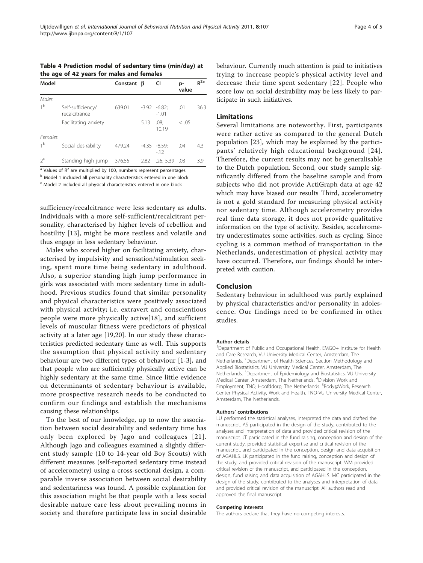<span id="page-3-0"></span>Table 4 Prediction model of sedentary time (min/day) at the age of 42 years for males and females

| Model          |                                    | Constant B |      | CI                         | p-<br>value | $R^{2a}$ |
|----------------|------------------------------------|------------|------|----------------------------|-------------|----------|
| Males          |                                    |            |      |                            |             |          |
| 1 <sup>b</sup> | Self-sufficiency/<br>recalcitrance | 639.01     |      | $-3.92 -6.82$ ;<br>$-1.01$ | .01         | 36.3     |
|                | Facilitating anxiety               |            | 5.13 | .08:<br>10.19              | < .05       |          |
| Females        |                                    |            |      |                            |             |          |
| 1 <sup>b</sup> | Social desirability                | 479.24     |      | $-4.35 -8.59$ ;<br>$-12$   | .04         | 4.3      |
| $2^c$          | Standing high jump                 | 376.55     | 2.82 | .26:5.39                   | .03         | 3.9      |

 $a$  Values of  $R^2$  are multiplied by 100, numbers represent percentages

<sup>b</sup> Model 1 included all personality characteristics entered in one block

<sup>c</sup> Model 2 included all physical characteristics entered in one block

sufficiency/recalcitrance were less sedentary as adults. Individuals with a more self-sufficient/recalcitrant personality, characterised by higher levels of rebellion and hostility [\[13\]](#page-4-0), might be more restless and volatile and thus engage in less sedentary behaviour.

Males who scored higher on facilitating anxiety, characterised by impulsivity and sensation/stimulation seeking, spent more time being sedentary in adulthood. Also, a superior standing high jump performance in girls was associated with more sedentary time in adulthood. Previous studies found that similar personality and physical characteristics were positively associated with physical activity; i.e. extravert and conscientious people were more physically active[[18](#page-4-0)], and sufficient levels of muscular fitness were predictors of physical activity at a later age [[19,20\]](#page-4-0). In our study these characteristics predicted sedentary time as well. This supports the assumption that physical activity and sedentary behaviour are two different types of behaviour [[1-3](#page-4-0)], and that people who are sufficiently physically active can be highly sedentary at the same time. Since little evidence on determinants of sedentary behaviour is available, more prospective research needs to be conducted to confirm our findings and establish the mechanisms causing these relationships.

To the best of our knowledge, up to now the association between social desirability and sedentary time has only been explored by Jago and colleagues [[21\]](#page-4-0). Although Jago and colleagues examined a slightly different study sample (10 to 14-year old Boy Scouts) with different measures (self-reported sedentary time instead of accelerometry) using a cross-sectional design, a comparable inverse association between social desirability and sedentariness was found. A possible explanation for this association might be that people with a less social desirable nature care less about prevailing norms in society and therefore participate less in social desirable

behaviour. Currently much attention is paid to initiatives trying to increase people's physical activity level and decrease their time spent sedentary [[22\]](#page-4-0). People who score low on social desirability may be less likely to participate in such initiatives.

# Limitations

Several limitations are noteworthy. First, participants were rather active as compared to the general Dutch population [[23\]](#page-4-0), which may be explained by the participants' relatively high educational background [[24\]](#page-4-0). Therefore, the current results may not be generalisable to the Dutch population. Second, our study sample significantly differed from the baseline sample and from subjects who did not provide ActiGraph data at age 42 which may have biased our results Third, accelerometry is not a gold standard for measuring physical activity nor sedentary time. Although accelerometry provides real time data storage, it does not provide qualitative information on the type of activity. Besides, accelerometry underestimates some activities, such as cycling. Since cycling is a common method of transportation in the Netherlands, underestimation of physical activity may have occurred. Therefore, our findings should be interpreted with caution.

#### Conclusion

Sedentary behaviour in adulthood was partly explained by physical characteristics and/or personality in adolescence. Our findings need to be confirmed in other studies.

#### Author details

<sup>1</sup>Department of Public and Occupational Health, EMGO+ Institute for Health and Care Research, VU University Medical Center, Amsterdam, The Netherlands. <sup>2</sup> Department of Health Sciences, Section Methodology and Applied Biostatistics, VU University Medical Center, Amsterdam, The Netherlands. <sup>3</sup>Department of Epidemiology and Biostatistics, VU University Medical Center, Amsterdam, The Netherlands. <sup>4</sup>Division Work and Employment, TNO, Hoofddorp, The Netherlands. <sup>5</sup>Body@Work, Research Center Physical Activity, Work and Health, TNO-VU University Medical Center, Amsterdam, The Netherlands.

#### Authors' contributions

LU performed the statistical analyses, interpreted the data and drafted the manuscript. AS participated in the design of the study, contributed to the analyses and interpretation of data and provided critical revision of the manuscript. JT participated in the fund raising, conception and design of the current study, provided statistical expertise and critical revision of the manuscript, and participated in the conception, design and data acquisition of AGAHLS. LK participated in the fund raising, conception and design of the study, and provided critical revision of the manuscript. WM provided critical revision of the manuscript, and participated in the conception, design, fund raising and data acquisition of AGAHLS. MC participated in the design of the study, contributed to the analyses and interpretation of data and provided critical revision of the manuscript. All authors read and approved the final manuscript.

#### Competing interests

The authors declare that they have no competing interests.